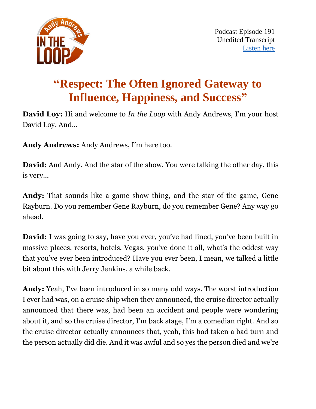

# **"Respect: The Often Ignored Gateway to Influence, Happiness, and Success"**

**David Loy:** Hi and welcome to *In the Loop* with Andy Andrews, I'm your host David Loy. And…

**Andy Andrews:** Andy Andrews, I'm here too.

**David:** And Andy. And the star of the show. You were talking the other day, this is very…

**Andy:** That sounds like a game show thing, and the star of the game, Gene Rayburn. Do you remember Gene Rayburn, do you remember Gene? Any way go ahead.

**David:** I was going to say, have you ever, you've had lined, you've been built in massive places, resorts, hotels, Vegas, you've done it all, what's the oddest way that you've ever been introduced? Have you ever been, I mean, we talked a little bit about this with Jerry Jenkins, a while back.

**Andy:** Yeah, I've been introduced in so many odd ways. The worst introduction I ever had was, on a cruise ship when they announced, the cruise director actually announced that there was, had been an accident and people were wondering about it, and so the cruise director, I'm back stage, I'm a comedian right. And so the cruise director actually announces that, yeah, this had taken a bad turn and the person actually did die. And it was awful and so yes the person died and we're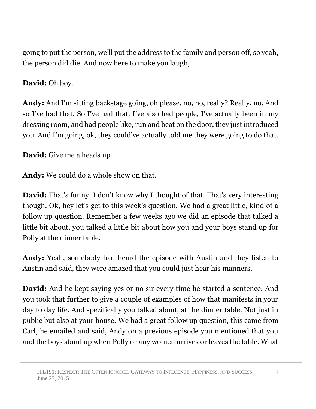going to put the person, we'll put the address to the family and person off, so yeah, the person did die. And now here to make you laugh,

**David:** Oh boy.

**Andy:** And I'm sitting backstage going, oh please, no, no, really? Really, no. And so I've had that. So I've had that. I've also had people, I've actually been in my dressing room, and had people like, run and beat on the door, they just introduced you. And I'm going, ok, they could've actually told me they were going to do that.

**David:** Give me a heads up.

**Andy:** We could do a whole show on that.

**David:** That's funny. I don't know why I thought of that. That's very interesting though. Ok, hey let's get to this week's question. We had a great little, kind of a follow up question. Remember a few weeks ago we did an episode that talked a little bit about, you talked a little bit about how you and your boys stand up for Polly at the dinner table.

**Andy:** Yeah, somebody had heard the episode with Austin and they listen to Austin and said, they were amazed that you could just hear his manners.

**David:** And he kept saying yes or no sir every time he started a sentence. And you took that further to give a couple of examples of how that manifests in your day to day life. And specifically you talked about, at the dinner table. Not just in public but also at your house. We had a great follow up question, this came from Carl, he emailed and said, Andy on a previous episode you mentioned that you and the boys stand up when Polly or any women arrives or leaves the table. What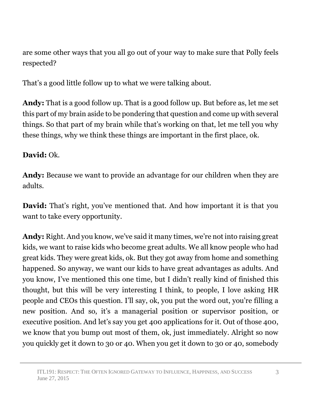are some other ways that you all go out of your way to make sure that Polly feels respected?

That's a good little follow up to what we were talking about.

**Andy:** That is a good follow up. That is a good follow up. But before as, let me set this part of my brain aside to be pondering that question and come up with several things. So that part of my brain while that's working on that, let me tell you why these things, why we think these things are important in the first place, ok.

## **David:** Ok.

**Andy:** Because we want to provide an advantage for our children when they are adults.

**David:** That's right, you've mentioned that. And how important it is that you want to take every opportunity.

**Andy:** Right. And you know, we've said it many times, we're not into raising great kids, we want to raise kids who become great adults. We all know people who had great kids. They were great kids, ok. But they got away from home and something happened. So anyway, we want our kids to have great advantages as adults. And you know, I've mentioned this one time, but I didn't really kind of finished this thought, but this will be very interesting I think, to people, I love asking HR people and CEOs this question. I'll say, ok, you put the word out, you're filling a new position. And so, it's a managerial position or supervisor position, or executive position. And let's say you get 400 applications for it. Out of those 400, we know that you bump out most of them, ok, just immediately. Alright so now you quickly get it down to 30 or 40. When you get it down to 30 or 40, somebody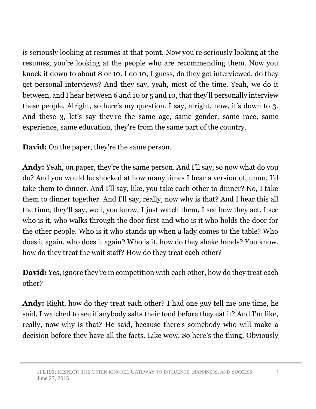is seriously looking at resumes at that point. Now you're seriously looking at the resumes, you're looking at the people who are recommending them. Now you knock it down to about 8 or 10. I do 10, I guess, do they get interviewed, do they get personal interviews? And they say, yeah, most of the time. Yeah, we do it between, and I hear between 6 and 10 or 5 and 10, that they'll personally interview these people. Alright, so here's my question. I say, alright, now, it's down to 3. And these 3, let's say they're the same age, same gender, same race, same experience, same education, they're from the same part of the country.

**David:** On the paper, they're the same person.

**Andy:** Yeah, on paper, they're the same person. And I'll say, so now what do you do? And you would be shocked at how many times I hear a version of, umm, I'd take them to dinner. And I'll say, like, you take each other to dinner? No, I take them to dinner together. And I'll say, really, now why is that? And I hear this all the time, they'll say, well, you know, I just watch them, I see how they act. I see who is it, who walks through the door first and who is it who holds the door for the other people. Who is it who stands up when a lady comes to the table? Who does it again, who does it again? Who is it, how do they shake hands? You know, how do they treat the wait staff? How do they treat each other?

**David:** Yes, ignore they're in competition with each other, how do they treat each other?

**Andy:** Right, how do they treat each other? I had one guy tell me one time, he said, I watched to see if anybody salts their food before they eat it? And I'm like, really, now why is that? He said, because there's somebody who will make a decision before they have all the facts. Like wow. So here's the thing. Obviously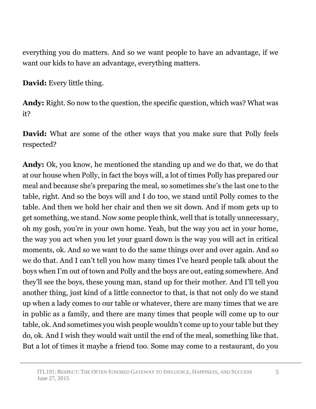everything you do matters. And so we want people to have an advantage, if we want our kids to have an advantage, everything matters.

**David:** Every little thing.

**Andy:** Right. So now to the question, the specific question, which was? What was it?

**David:** What are some of the other ways that you make sure that Polly feels respected?

**Andy:** Ok, you know, he mentioned the standing up and we do that, we do that at our house when Polly, in fact the boys will, a lot of times Polly has prepared our meal and because she's preparing the meal, so sometimes she's the last one to the table, right. And so the boys will and I do too, we stand until Polly comes to the table. And then we hold her chair and then we sit down. And if mom gets up to get something, we stand. Now some people think, well that is totally unnecessary, oh my gosh, you're in your own home. Yeah, but the way you act in your home, the way you act when you let your guard down is the way you will act in critical moments, ok. And so we want to do the same things over and over again. And so we do that. And I can't tell you how many times I've heard people talk about the boys when I'm out of town and Polly and the boys are out, eating somewhere. And they'll see the boys, these young man, stand up for their mother. And I'll tell you another thing, just kind of a little connector to that, is that not only do we stand up when a lady comes to our table or whatever, there are many times that we are in public as a family, and there are many times that people will come up to our table, ok. And sometimes you wish people wouldn't come up to your table but they do, ok. And I wish they would wait until the end of the meal, something like that. But a lot of times it maybe a friend too. Some may come to a restaurant, do you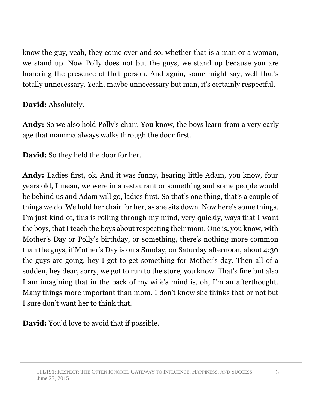know the guy, yeah, they come over and so, whether that is a man or a woman, we stand up. Now Polly does not but the guys, we stand up because you are honoring the presence of that person. And again, some might say, well that's totally unnecessary. Yeah, maybe unnecessary but man, it's certainly respectful.

# **David:** Absolutely.

**Andy:** So we also hold Polly's chair. You know, the boys learn from a very early age that mamma always walks through the door first.

**David:** So they held the door for her.

**Andy:** Ladies first, ok. And it was funny, hearing little Adam, you know, four years old, I mean, we were in a restaurant or something and some people would be behind us and Adam will go, ladies first. So that's one thing, that's a couple of things we do. We hold her chair for her, as she sits down. Now here's some things, I'm just kind of, this is rolling through my mind, very quickly, ways that I want the boys, that I teach the boys about respecting their mom. One is, you know, with Mother's Day or Polly's birthday, or something, there's nothing more common than the guys, if Mother's Day is on a Sunday, on Saturday afternoon, about 4:30 the guys are going, hey I got to get something for Mother's day. Then all of a sudden, hey dear, sorry, we got to run to the store, you know. That's fine but also I am imagining that in the back of my wife's mind is, oh, I'm an afterthought. Many things more important than mom. I don't know she thinks that or not but I sure don't want her to think that.

**David:** You'd love to avoid that if possible.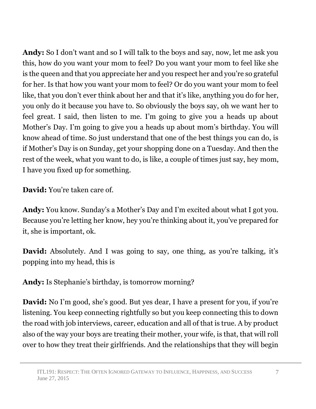**Andy:** So I don't want and so I will talk to the boys and say, now, let me ask you this, how do you want your mom to feel? Do you want your mom to feel like she is the queen and that you appreciate her and you respect her and you're so grateful for her. Is that how you want your mom to feel? Or do you want your mom to feel like, that you don't ever think about her and that it's like, anything you do for her, you only do it because you have to. So obviously the boys say, oh we want her to feel great. I said, then listen to me. I'm going to give you a heads up about Mother's Day. I'm going to give you a heads up about mom's birthday. You will know ahead of time. So just understand that one of the best things you can do, is if Mother's Day is on Sunday, get your shopping done on a Tuesday. And then the rest of the week, what you want to do, is like, a couple of times just say, hey mom, I have you fixed up for something.

**David:** You're taken care of.

**Andy:** You know. Sunday's a Mother's Day and I'm excited about what I got you. Because you're letting her know, hey you're thinking about it, you've prepared for it, she is important, ok.

**David:** Absolutely. And I was going to say, one thing, as you're talking, it's popping into my head, this is

**Andy:** Is Stephanie's birthday, is tomorrow morning?

**David:** No I'm good, she's good. But yes dear, I have a present for you, if you're listening. You keep connecting rightfully so but you keep connecting this to down the road with job interviews, career, education and all of that is true. A by product also of the way your boys are treating their mother, your wife, is that, that will roll over to how they treat their girlfriends. And the relationships that they will begin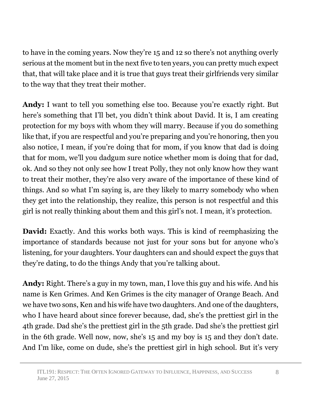to have in the coming years. Now they're 15 and 12 so there's not anything overly serious at the moment but in the next five to ten years, you can pretty much expect that, that will take place and it is true that guys treat their girlfriends very similar to the way that they treat their mother.

**Andy:** I want to tell you something else too. Because you're exactly right. But here's something that I'll bet, you didn't think about David. It is, I am creating protection for my boys with whom they will marry. Because if you do something like that, if you are respectful and you're preparing and you're honoring, then you also notice, I mean, if you're doing that for mom, if you know that dad is doing that for mom, we'll you dadgum sure notice whether mom is doing that for dad, ok. And so they not only see how I treat Polly, they not only know how they want to treat their mother, they're also very aware of the importance of these kind of things. And so what I'm saying is, are they likely to marry somebody who when they get into the relationship, they realize, this person is not respectful and this girl is not really thinking about them and this girl's not. I mean, it's protection.

**David:** Exactly. And this works both ways. This is kind of reemphasizing the importance of standards because not just for your sons but for anyone who's listening, for your daughters. Your daughters can and should expect the guys that they're dating, to do the things Andy that you're talking about.

**Andy:** Right. There's a guy in my town, man, I love this guy and his wife. And his name is Ken Grimes. And Ken Grimes is the city manager of Orange Beach. And we have two sons, Ken and his wife have two daughters. And one of the daughters, who I have heard about since forever because, dad, she's the prettiest girl in the 4th grade. Dad she's the prettiest girl in the 5th grade. Dad she's the prettiest girl in the 6th grade. Well now, now, she's 15 and my boy is 15 and they don't date. And I'm like, come on dude, she's the prettiest girl in high school. But it's very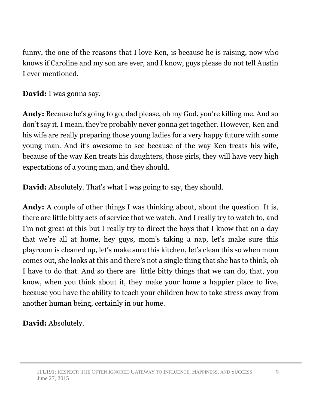funny, the one of the reasons that I love Ken, is because he is raising, now who knows if Caroline and my son are ever, and I know, guys please do not tell Austin I ever mentioned.

**David:** I was gonna say.

**Andy:** Because he's going to go, dad please, oh my God, you're killing me. And so don't say it. I mean, they're probably never gonna get together. However, Ken and his wife are really preparing those young ladies for a very happy future with some young man. And it's awesome to see because of the way Ken treats his wife, because of the way Ken treats his daughters, those girls, they will have very high expectations of a young man, and they should.

**David:** Absolutely. That's what I was going to say, they should.

**Andy:** A couple of other things I was thinking about, about the question. It is, there are little bitty acts of service that we watch. And I really try to watch to, and I'm not great at this but I really try to direct the boys that I know that on a day that we're all at home, hey guys, mom's taking a nap, let's make sure this playroom is cleaned up, let's make sure this kitchen, let's clean this so when mom comes out, she looks at this and there's not a single thing that she has to think, oh I have to do that. And so there are little bitty things that we can do, that, you know, when you think about it, they make your home a happier place to live, because you have the ability to teach your children how to take stress away from another human being, certainly in our home.

**David:** Absolutely.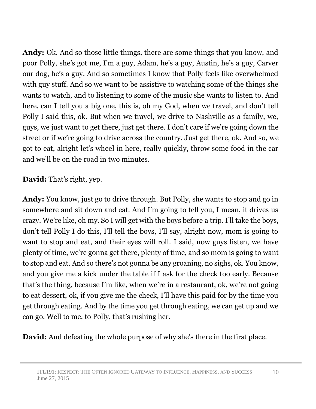**Andy:** Ok. And so those little things, there are some things that you know, and poor Polly, she's got me, I'm a guy, Adam, he's a guy, Austin, he's a guy, Carver our dog, he's a guy. And so sometimes I know that Polly feels like overwhelmed with guy stuff. And so we want to be assistive to watching some of the things she wants to watch, and to listening to some of the music she wants to listen to. And here, can I tell you a big one, this is, oh my God, when we travel, and don't tell Polly I said this, ok. But when we travel, we drive to Nashville as a family, we, guys, we just want to get there, just get there. I don't care if we're going down the street or if we're going to drive across the country. Just get there, ok. And so, we got to eat, alright let's wheel in here, really quickly, throw some food in the car and we'll be on the road in two minutes.

**David:** That's right, yep.

**Andy:** You know, just go to drive through. But Polly, she wants to stop and go in somewhere and sit down and eat. And I'm going to tell you, I mean, it drives us crazy. We're like, oh my. So I will get with the boys before a trip. I'll take the boys, don't tell Polly I do this, I'll tell the boys, I'll say, alright now, mom is going to want to stop and eat, and their eyes will roll. I said, now guys listen, we have plenty of time, we're gonna get there, plenty of time, and so mom is going to want to stop and eat. And so there's not gonna be any groaning, no sighs, ok. You know, and you give me a kick under the table if I ask for the check too early. Because that's the thing, because I'm like, when we're in a restaurant, ok, we're not going to eat dessert, ok, if you give me the check, I'll have this paid for by the time you get through eating. And by the time you get through eating, we can get up and we can go. Well to me, to Polly, that's rushing her.

**David:** And defeating the whole purpose of why she's there in the first place.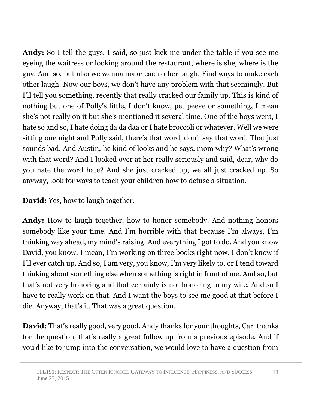**Andy:** So I tell the guys, I said, so just kick me under the table if you see me eyeing the waitress or looking around the restaurant, where is she, where is the guy. And so, but also we wanna make each other laugh. Find ways to make each other laugh. Now our boys, we don't have any problem with that seemingly. But I'll tell you something, recently that really cracked our family up. This is kind of nothing but one of Polly's little, I don't know, pet peeve or something, I mean she's not really on it but she's mentioned it several time. One of the boys went, I hate so and so, I hate doing da da daa or I hate broccoli or whatever. Well we were sitting one night and Polly said, there's that word, don't say that word. That just sounds bad. And Austin, he kind of looks and he says, mom why? What's wrong with that word? And I looked over at her really seriously and said, dear, why do you hate the word hate? And she just cracked up, we all just cracked up. So anyway, look for ways to teach your children how to defuse a situation.

**David:** Yes, how to laugh together.

**Andy:** How to laugh together, how to honor somebody. And nothing honors somebody like your time. And I'm horrible with that because I'm always, I'm thinking way ahead, my mind's raising. And everything I got to do. And you know David, you know, I mean, I'm working on three books right now. I don't know if I'll ever catch up. And so, I am very, you know, I'm very likely to, or I tend toward thinking about something else when something is right in front of me. And so, but that's not very honoring and that certainly is not honoring to my wife. And so I have to really work on that. And I want the boys to see me good at that before I die. Anyway, that's it. That was a great question.

**David:** That's really good, very good. Andy thanks for your thoughts, Carl thanks for the question, that's really a great follow up from a previous episode. And if you'd like to jump into the conversation, we would love to have a question from